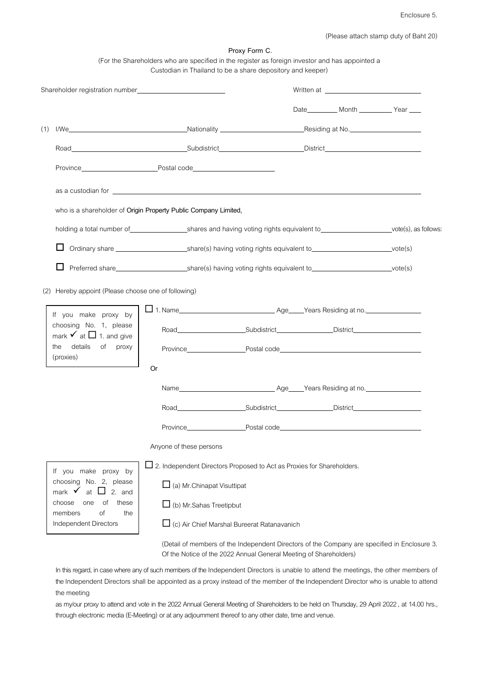(Please attach stamp duty of Baht 20)

|     |                                                                   | (For the Shareholders who are specified in the register as foreign investor and has appointed a<br>Custodian in Thailand to be a share depository and keeper) | Proxy Form C.                                                                                |  |                                               |  |  |  |
|-----|-------------------------------------------------------------------|---------------------------------------------------------------------------------------------------------------------------------------------------------------|----------------------------------------------------------------------------------------------|--|-----------------------------------------------|--|--|--|
|     |                                                                   |                                                                                                                                                               |                                                                                              |  |                                               |  |  |  |
|     |                                                                   |                                                                                                                                                               |                                                                                              |  | Date___________ Month _____________ Year ____ |  |  |  |
| (1) |                                                                   |                                                                                                                                                               |                                                                                              |  |                                               |  |  |  |
|     |                                                                   |                                                                                                                                                               |                                                                                              |  |                                               |  |  |  |
|     |                                                                   | Province Postal code Postal Code Province                                                                                                                     |                                                                                              |  |                                               |  |  |  |
|     |                                                                   |                                                                                                                                                               |                                                                                              |  |                                               |  |  |  |
|     | who is a shareholder of Origin Property Public Company Limited,   |                                                                                                                                                               |                                                                                              |  |                                               |  |  |  |
|     |                                                                   | holding a total number of _______________________shares and having voting rights equivalent to ________________________vote(s), as follows:                   |                                                                                              |  |                                               |  |  |  |
|     |                                                                   |                                                                                                                                                               |                                                                                              |  |                                               |  |  |  |
|     |                                                                   |                                                                                                                                                               |                                                                                              |  |                                               |  |  |  |
|     | (2) Hereby appoint (Please choose one of following)               |                                                                                                                                                               |                                                                                              |  |                                               |  |  |  |
|     | If you make proxy by                                              |                                                                                                                                                               |                                                                                              |  |                                               |  |  |  |
|     | choosing No. 1, please<br>mark $\checkmark$ at $\Box$ 1. and give |                                                                                                                                                               |                                                                                              |  |                                               |  |  |  |
|     | details<br>of proxy<br>the<br>(proxies)                           |                                                                                                                                                               |                                                                                              |  |                                               |  |  |  |
|     |                                                                   | Or                                                                                                                                                            |                                                                                              |  |                                               |  |  |  |
|     |                                                                   |                                                                                                                                                               |                                                                                              |  |                                               |  |  |  |
|     |                                                                   | Road<br><u> 1989 - Johann Stoff, deutscher Stoffen und der Stoffen und der Stoffen und der Stoffen und der Stoffen und der </u>                               | Subdistrict                                                                                  |  |                                               |  |  |  |
|     |                                                                   | Province                                                                                                                                                      | Postal code                                                                                  |  |                                               |  |  |  |
|     |                                                                   | Anyone of these persons                                                                                                                                       |                                                                                              |  |                                               |  |  |  |
|     | If you make proxy by                                              | $\square$ 2. Independent Directors Proposed to Act as Proxies for Shareholders.                                                                               |                                                                                              |  |                                               |  |  |  |
|     | choosing No. 2, please<br>mark $\checkmark$ at $\Box$ 2. and      |                                                                                                                                                               | $\Box$ (a) Mr. Chinapat Visuttipat                                                           |  |                                               |  |  |  |
|     | these<br>choose<br>οf<br>one<br>of<br>members<br>the              | $\Box$ (b) Mr. Sahas Treetipbut                                                                                                                               |                                                                                              |  |                                               |  |  |  |
|     | Independent Directors                                             |                                                                                                                                                               | $\Box$ (c) Air Chief Marshal Bureerat Ratanavanich                                           |  |                                               |  |  |  |
|     |                                                                   |                                                                                                                                                               | (Detail of members of the Independent Directors of the Company are specified in Enclosure 3. |  |                                               |  |  |  |

In this regard, in case where any of such members of the Independent Directors is unable to attend the meetings, the other members of the Independent Directors shall be appointed as a proxy instead of the member of the Independent Director who is unable to attend the meeting

Of the Notice of the 2022 Annual General Meeting of Shareholders)

as my/our proxy to attend and vote in the 2022 Annual General Meeting of Shareholders to be held on Thursday, 29 April 2022, at 14.00 hrs., through electronic media (E-Meeting) or at any adjournment thereof to any other date, time and venue.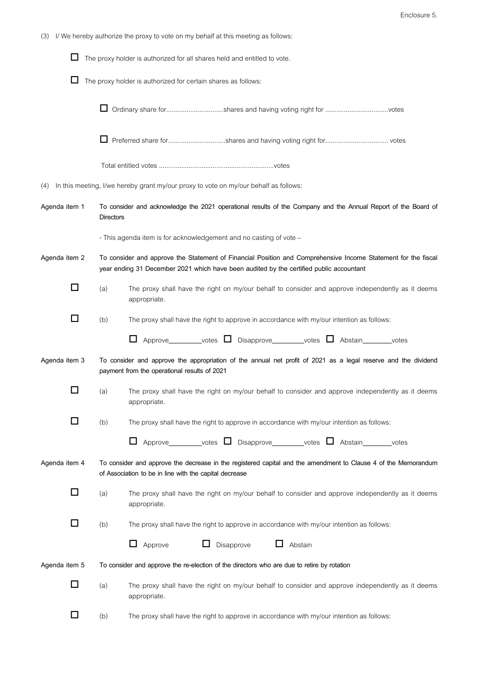| (3) I/ We hereby authorize the proxy to vote on my behalf at this meeting as follows: |  |  |
|---------------------------------------------------------------------------------------|--|--|
|                                                                                       |  |  |

|               |                                                               | The proxy holder is authorized for all shares held and entitled to vote.                                                                                                                                 |  |  |  |
|---------------|---------------------------------------------------------------|----------------------------------------------------------------------------------------------------------------------------------------------------------------------------------------------------------|--|--|--|
| ப             | The proxy holder is authorized for certain shares as follows: |                                                                                                                                                                                                          |  |  |  |
|               |                                                               | □ Ordinary share forshares and having voting right for votes                                                                                                                                             |  |  |  |
|               | Preferred share forshares and having voting right for votes   |                                                                                                                                                                                                          |  |  |  |
|               |                                                               |                                                                                                                                                                                                          |  |  |  |
| (4)           |                                                               | In this meeting, I/we hereby grant my/our proxy to vote on my/our behalf as follows:                                                                                                                     |  |  |  |
| Agenda item 1 |                                                               | To consider and acknowledge the 2021 operational results of the Company and the Annual Report of the Board of<br><b>Directors</b>                                                                        |  |  |  |
|               |                                                               | - This agenda item is for acknowledgement and no casting of vote -                                                                                                                                       |  |  |  |
| Agenda item 2 |                                                               | To consider and approve the Statement of Financial Position and Comprehensive Income Statement for the fiscal<br>year ending 31 December 2021 which have been audited by the certified public accountant |  |  |  |
| П             | (a)                                                           | The proxy shall have the right on my/our behalf to consider and approve independently as it deems<br>appropriate.                                                                                        |  |  |  |
| П             | (b)                                                           | The proxy shall have the right to approve in accordance with my/our intention as follows:                                                                                                                |  |  |  |
|               |                                                               | □ Approve_________votes □ Disapprove________votes □ Abstain_______votes                                                                                                                                  |  |  |  |
| Agenda item 3 |                                                               | To consider and approve the appropriation of the annual net profit of 2021 as a legal reserve and the dividend<br>payment from the operational results of 2021                                           |  |  |  |
| □             | (a)                                                           | The proxy shall have the right on my/our behalf to consider and approve independently as it deems<br>appropriate.                                                                                        |  |  |  |
|               | (b)                                                           | The proxy shall have the right to approve in accordance with my/our intention as follows:                                                                                                                |  |  |  |
|               |                                                               | Approve_________votes □ Disapprove_______votes □ Abstain______votes                                                                                                                                      |  |  |  |
| Agenda item 4 |                                                               | To consider and approve the decrease in the registered capital and the amendment to Clause 4 of the Memorandum<br>of Association to be in line with the capital decrease                                 |  |  |  |
| □             | (a)                                                           | The proxy shall have the right on my/our behalf to consider and approve independently as it deems<br>appropriate.                                                                                        |  |  |  |
| LI            | (b)                                                           | The proxy shall have the right to approve in accordance with my/our intention as follows:                                                                                                                |  |  |  |
|               |                                                               | Disapprove<br>Approve<br>$\Box$<br>Abstain<br>Ц.<br>ப                                                                                                                                                    |  |  |  |
| Agenda item 5 |                                                               | To consider and approve the re-election of the directors who are due to retire by rotation                                                                                                               |  |  |  |
| $\Box$        | (a)                                                           | The proxy shall have the right on my/our behalf to consider and approve independently as it deems<br>appropriate.                                                                                        |  |  |  |
| □             | (b)                                                           | The proxy shall have the right to approve in accordance with my/our intention as follows:                                                                                                                |  |  |  |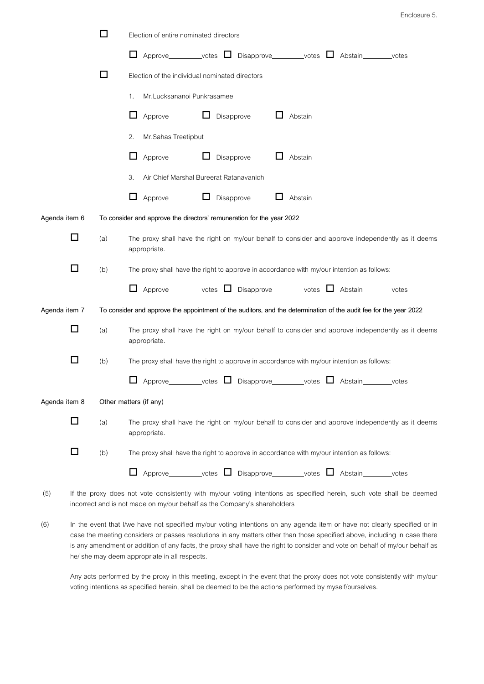|               |   | □   | Election of entire nominated directors                                                                               |
|---------------|---|-----|----------------------------------------------------------------------------------------------------------------------|
|               |   |     | $\Box$<br>Approve_________votes □ Disapprove________votes □ Abstain_______votes                                      |
|               |   | □   | Election of the individual nominated directors                                                                       |
|               |   |     | Mr.Lucksananoi Punkrasamee<br>1.                                                                                     |
|               |   |     | ⊔<br>Approve<br>Disapprove<br>Abstain                                                                                |
|               |   |     | Mr.Sahas Treetipbut<br>2.                                                                                            |
|               |   |     | $\Box$<br>$\Box$<br>⊔<br>Abstain<br>Approve<br>Disapprove                                                            |
|               |   |     | Air Chief Marshal Bureerat Ratanavanich<br>3.                                                                        |
|               |   |     | ப<br>Approve<br>Disapprove<br>Abstain                                                                                |
| Agenda item 6 |   |     | To consider and approve the directors' remuneration for the year 2022                                                |
|               | □ | (a) | The proxy shall have the right on my/our behalf to consider and approve independently as it deems<br>appropriate.    |
|               | □ | (b) | The proxy shall have the right to approve in accordance with my/our intention as follows:                            |
|               |   |     | Approve_________votes □ Disapprove________votes □ Abstain_______votes<br>$\Box$                                      |
| Agenda item 7 |   |     | To consider and approve the appointment of the auditors, and the determination of the audit fee for the year 2022    |
|               | □ | (a) | The proxy shall have the right on my/our behalf to consider and approve independently as it deems<br>appropriate.    |
|               | □ | (b) | The proxy shall have the right to approve in accordance with my/our intention as follows:                            |
|               |   |     | Approve _______votes □ Disapprove _______votes □ Abstain<br>votes                                                    |
| Agenda item 8 |   |     | Other matters (if any)                                                                                               |
|               | □ | (a) | The proxy shall have the right on my/our behalf to consider and approve independently as it deems<br>appropriate.    |
|               | □ | (b) | The proxy shall have the right to approve in accordance with my/our intention as follows:                            |
|               |   |     | Approve__________votes □ Disapprove________votes □ Abstain_______votes<br>$\Box$                                     |
| (5)           |   |     | If the proxy does not vote consistently with my/our voting intentions as specified herein, such vote shall be deemed |

Enclosure 5.

incorrect and is not made on my/our behalf as the Company's shareholders

(6) In the event that I/we have not specified my/our voting intentions on any agenda item or have not clearly specified or in case the meeting considers or passes resolutions in any matters other than those specified above, including in case there is any amendment or addition of any facts, the proxy shall have the right to consider and vote on behalf of my/our behalf as he/ she may deem appropriate in all respects.

Any acts performed by the proxy in this meeting, except in the event that the proxy does not vote consistently with my/our voting intentions as specified herein, shall be deemed to be the actions performed by myself/ourselves.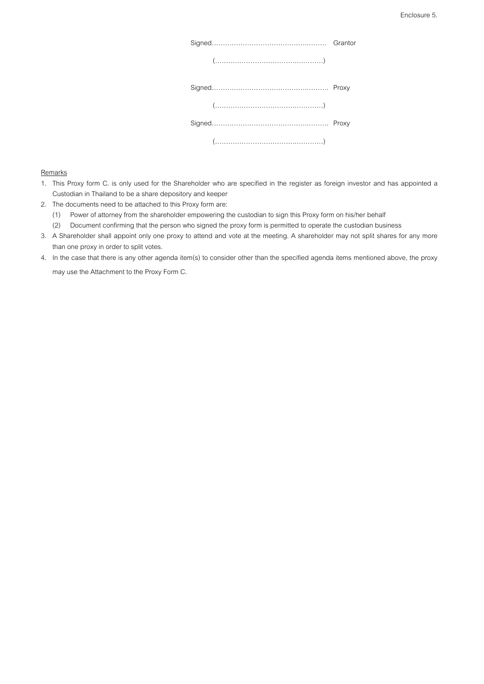|       | Grantor |
|-------|---------|
| $(")$ |         |
|       |         |
|       |         |
|       |         |
|       |         |

## **Remarks**

| 1. This Proxy form C. is only used for the Shareholder who are specified in the register as foreign investor and has appointed a |
|----------------------------------------------------------------------------------------------------------------------------------|
| Custodian in Thailand to be a share depository and keeper                                                                        |

- 2. The documents need to be attached to this Proxy form are:
	- (1) Power of attorney from the shareholder empowering the custodian to sign this Proxy form on his/her behalf
	- (2) Document confirming that the person who signed the proxy form is permitted to operate the custodian business
- 3. A Shareholder shall appoint only one proxy to attend and vote at the meeting. A shareholder may not split shares for any more than one proxy in order to split votes.
- 4. In the case that there is any other agenda item(s) to consider other than the specified agenda items mentioned above, the proxy

may use the Attachment to the Proxy Form C.